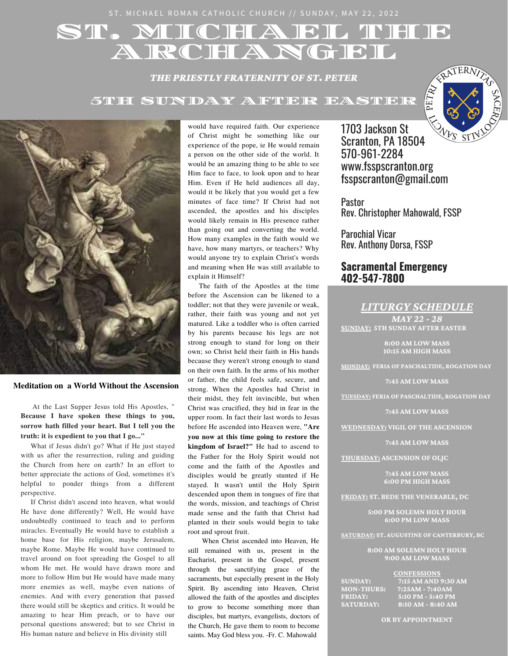# ST. MICHAEL THEF **ARCHANGEL**

*THE PRIESTLY FRATERNITY OF ST. PETER*

5TH SUNDAY AFTER FASTER





**Meditation on a World Without the Ascension**

At the Last Supper Jesus told His Apostles, " **Because I have spoken these things to you, sorrow hath filled your heart. But I tell you the truth: it is expedient to you that I go..."**

What if Jesus didn't go? What if He just stayed with us after the resurrection, ruling and guiding the Church from here on earth? In an effort to better appreciate the actions of God, sometimes it's helpful to ponder things from a different perspective.

If Christ didn't ascend into heaven, what would He have done differently? Well, He would have undoubtedly continued to teach and to perform miracles. Eventually He would have to establish a home base for His religion, maybe Jerusalem, maybe Rome. Maybe He would have continued to travel around on foot spreading the Gospel to all whom He met. He would have drawn more and more to follow Him but He would have made many more enemies as well, maybe even nations of enemies. And with every generation that passed there would still be skeptics and critics. It would be amazing to hear Him preach, or to have our personal questions answered; but to see Christ in His human nature and believe in His divinity still

would have required faith. Our experience of Christ might be something like our experience of the pope, ie He would remain a person on the other side of the world. It would be an amazing thing to be able to see Him face to face, to look upon and to hear Him. Even if He held audiences all day, would it be likely that you would get a few minutes of face time? If Christ had not ascended, the apostles and his disciples would likely remain in His presence rather than going out and converting the world. How many examples in the faith would we have, how many martyrs, or teachers? Why would anyone try to explain Christ's words and meaning when He was still available to explain it Himself?

The faith of the Apostles at the time before the Ascension can be likened to a toddler; not that they were juvenile or weak, rather, their faith was young and not yet matured. Like a toddler who is often carried by his parents because his legs are not strong enough to stand for long on their own; so Christ held their faith in His hands because they weren't strong enough to stand on their own faith. In the arms of his mother or father, the child feels safe, secure, and strong. When the Apostles had Christ in their midst, they felt invincible, but when Christ was crucified, they hid in fear in the upper room. In fact their last words to Jesus before He ascended into Heaven were, **"Are**

**you now at this time going to restore the kingdom of Israel?"** He had to ascend to the Father for the Holy Spirit would not come and the faith of the Apostles and disciples would be greatly stunted if He stayed. It wasn't until the Holy Spirit descended upon them in tongues of fire that the words, mission, and teachings of Christ made sense and the faith that Christ had planted in their souls would begin to take root and sprout fruit.

When Christ ascended into Heaven, He still remained with us, present in the Eucharist, present in the Gospel, present through the sanctifying grace of the sacraments, but especially present in the Holy Spirit. By ascending into Heaven, Christ allowed the faith of the apostles and disciples to grow to become something more than disciples, but martyrs, evangelists, doctors of the Church, He gave them to room to become saints. May God bless you. -Fr. C. Mahowald

1703 Jackson St Scranton, PA 18504 570-961-2284 www.fsspscranton.org fsspscranton@gmail.com

Pastor Rev. Christopher Mahowald, FSSP

Parochial Vicar Rev. Anthony Dorsa, FSSP

### **Sacramental Emergency 402-547-7800**

*LITURGY SCHEDULE*

*MAY 22 - 28* **SUNDAY: 5TH SUNDAY AFTER EASTER**

> **8:00 AM LOW MASS 10:15 AM HIGH MASS**

**MONDAY: FERIA OF PASCHALTIDE, ROGATION DAY**

**7:45 AM LOW MASS**

**TUESDAY: FERIA OF PASCHALTIDE, ROGATION DAY**

**7:45 AM LOW MASS**

**WEDNESDAY: VIGIL OF THE ASCENSION**

**7:45 AM LOW MASS**

**THURSDAY: ASCENSION OF OLJC**

**7:45 AM LOW MASS 6:00 PM HIGH MASS**

**FRIDAY: ST. BEDE THE VENERABLE, DC**

**5:00 PM SOLEMN HOLY HOUR 6:00 PM LOW MASS**

**SATURDAY: ST. AUGUSTINE OF CANTERBURY, BC**

**8:00 AM SOLEMN HOLY HOUR 9:00 AM LOW MASS**

|                   | <b>CONFESSIONS</b>  |
|-------------------|---------------------|
| <b>SUNDAY:</b>    | 7:15 AM AND 9:30 AM |
| <b>MON-THURS:</b> | $7:25AM - 7:40AM$   |
| <b>FRIDAY:</b>    | 5:10 PM - 5:40 PM   |
| <b>SATURDAY:</b>  | 8:10 AM - 8:40 AM   |

**OR BY APPOINTMENT**